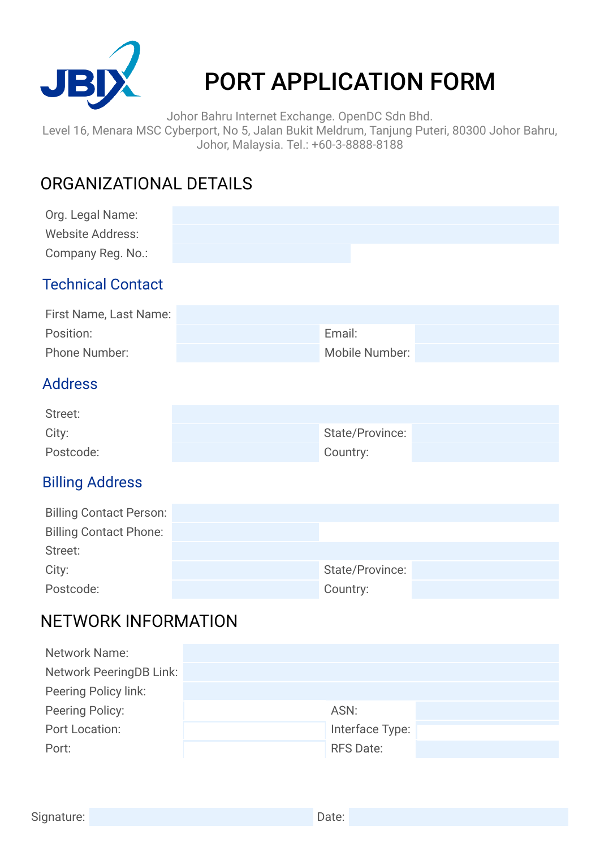

# PORT APPLICATION FORM

Johor Bahru Internet Exchange. OpenDC Sdn Bhd.

Level 16, Menara MSC Cyberport, No 5, Jalan Bukit Meldrum, Tanjung Puteri, 80300 Johor Bahru, Johor, Malaysia. Tel.: +60-3-8888-8188

## ORGANIZATIONAL DETAILS

| Org. Legal Name:<br><b>Website Address:</b><br>Company Reg. No.: |                 |  |
|------------------------------------------------------------------|-----------------|--|
| <b>Technical Contact</b>                                         |                 |  |
| First Name, Last Name:                                           |                 |  |
| Position:                                                        | Email:          |  |
| Phone Number:                                                    | Mobile Number:  |  |
| <b>Address</b>                                                   |                 |  |
| Street:                                                          |                 |  |
| City:                                                            | State/Province: |  |
| Postcode:                                                        | Country:        |  |
| <b>Billing Address</b>                                           |                 |  |
| <b>Billing Contact Person:</b>                                   |                 |  |
| <b>Billing Contact Phone:</b>                                    |                 |  |
| Street:                                                          |                 |  |
| City:                                                            | State/Province: |  |
| Postcode:                                                        | Country:        |  |

### NETWORK INFORMATION

| <b>Network Name:</b>           |                  |  |
|--------------------------------|------------------|--|
| <b>Network PeeringDB Link:</b> |                  |  |
| Peering Policy link:           |                  |  |
| Peering Policy:                | ASN:             |  |
| Port Location:                 | Interface Type:  |  |
| Port:                          | <b>RFS Date:</b> |  |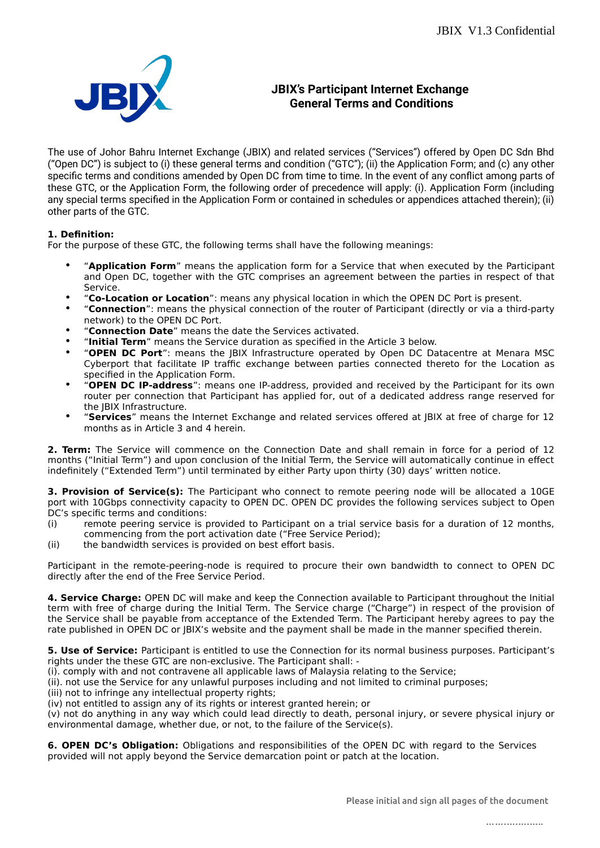

#### **JBIX's Participant Internet Exchange General Terms and Conditions**

The use of Johor Bahru Internet Exchange (JBIX) and related services ("Services") offered by Open DC Sdn Bhd ("Open DC") is subject to (i) these general terms and condition ("GTC"); (ii) the Application Form; and (c) any other specific terms and conditions amended by Open DC from time to time. In the event of any conflict among parts of these GTC, or the Application Form, the following order of precedence will apply: (i). Application Form (including any special terms specified in the Application Form or contained in schedules or appendices attached therein); (ii) other parts of the GTC.

#### **1. Definition:**

For the purpose of these GTC, the following terms shall have the following meanings:

- "**Application Form**" means the application form for a Service that when executed by the Participant and Open DC, together with the GTC comprises an agreement between the parties in respect of that Service.
- "**Co-Location or Location**": means any physical location in which the OPEN DC Port is present.
- "**Connection**": means the physical connection of the router of Participant (directly or via a third-party network) to the OPEN DC Port.
- "**Connection Date**" means the date the Services activated.
- "**Initial Term**" means the Service duration as specified in the Article 3 below.
- "**OPEN DC Port**": means the JBIX Infrastructure operated by Open DC Datacentre at Menara MSC Cyberport that facilitate IP traffic exchange between parties connected thereto for the Location as specified in the Application Form.
- "**OPEN DC IP-address**": means one IP-address, provided and received by the Participant for its own router per connection that Participant has applied for, out of a dedicated address range reserved for the JBIX Infrastructure.
- "**Services**" means the Internet Exchange and related services offered at JBIX at free of charge for 12 months as in Article 3 and 4 herein.

**2. Term:** The Service will commence on the Connection Date and shall remain in force for a period of 12 months ("Initial Term") and upon conclusion of the Initial Term, the Service will automatically continue in effect indefinitely ("Extended Term") until terminated by either Party upon thirty (30) days' written notice.

**3. Provision of Service(s):** The Participant who connect to remote peering node will be allocated a 10GE port with 10Gbps connectivity capacity to OPEN DC. OPEN DC provides the following services subject to Open DC's specific terms and conditions:

- (i) remote peering service is provided to Participant on a trial service basis for a duration of 12 months, commencing from the port activation date ("Free Service Period);
- (ii) the bandwidth services is provided on best effort basis.

Participant in the remote-peering-node is required to procure their own bandwidth to connect to OPEN DC directly after the end of the Free Service Period.

**4. Service Charge:** OPEN DC will make and keep the Connection available to Participant throughout the Initial term with free of charge during the Initial Term. The Service charge ("Charge") in respect of the provision of the Service shall be payable from acceptance of the Extended Term. The Participant hereby agrees to pay the rate published in OPEN DC or JBIX's website and the payment shall be made in the manner specified therein.

**5. Use of Service:** Participant is entitled to use the Connection for its normal business purposes. Participant's rights under the these GTC are non-exclusive. The Participant shall: -

(i). comply with and not contravene all applicable laws of Malaysia relating to the Service;

(ii). not use the Service for any unlawful purposes including and not limited to criminal purposes;

(iii) not to infringe any intellectual property rights;

(iv) not entitled to assign any of its rights or interest granted herein; or

(v) not do anything in any way which could lead directly to death, personal injury, or severe physical injury or environmental damage, whether due, or not, to the failure of the Service(s).

**6. OPEN DC's Obligation:** Obligations and responsibilities of the OPEN DC with regard to the Services provided will not apply beyond the Service demarcation point or patch at the location.